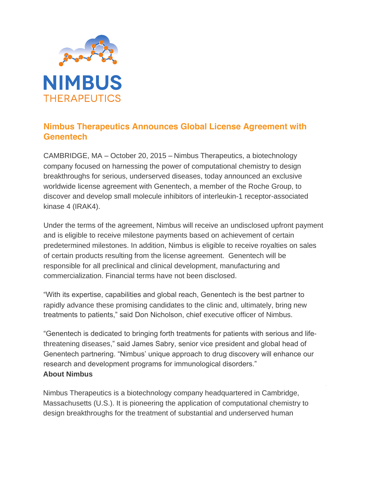

## **Nimbus Therapeutics Announces Global License Agreement with Genentech**

CAMBRIDGE, MA – October 20, 2015 – Nimbus Therapeutics, a biotechnology company focused on harnessing the power of computational chemistry to design breakthroughs for serious, underserved diseases, today announced an exclusive worldwide license agreement with Genentech, a member of the Roche Group, to discover and develop small molecule inhibitors of interleukin-1 receptor-associated kinase 4 (IRAK4).

Under the terms of the agreement, Nimbus will receive an undisclosed upfront payment and is eligible to receive milestone payments based on achievement of certain predetermined milestones. In addition, Nimbus is eligible to receive royalties on sales of certain products resulting from the license agreement. Genentech will be responsible for all preclinical and clinical development, manufacturing and commercialization. Financial terms have not been disclosed.

"With its expertise, capabilities and global reach, Genentech is the best partner to rapidly advance these promising candidates to the clinic and, ultimately, bring new treatments to patients," said Don Nicholson, chief executive officer of Nimbus.

"Genentech is dedicated to bringing forth treatments for patients with serious and lifethreatening diseases," said James Sabry, senior vice president and global head of Genentech partnering. "Nimbus' unique approach to drug discovery will enhance our research and development programs for immunological disorders." **About Nimbus** 

Nimbus Therapeutics is a biotechnology company headquartered in Cambridge, Massachusetts (U.S.). It is pioneering the application of computational chemistry to design breakthroughs for the treatment of substantial and underserved human